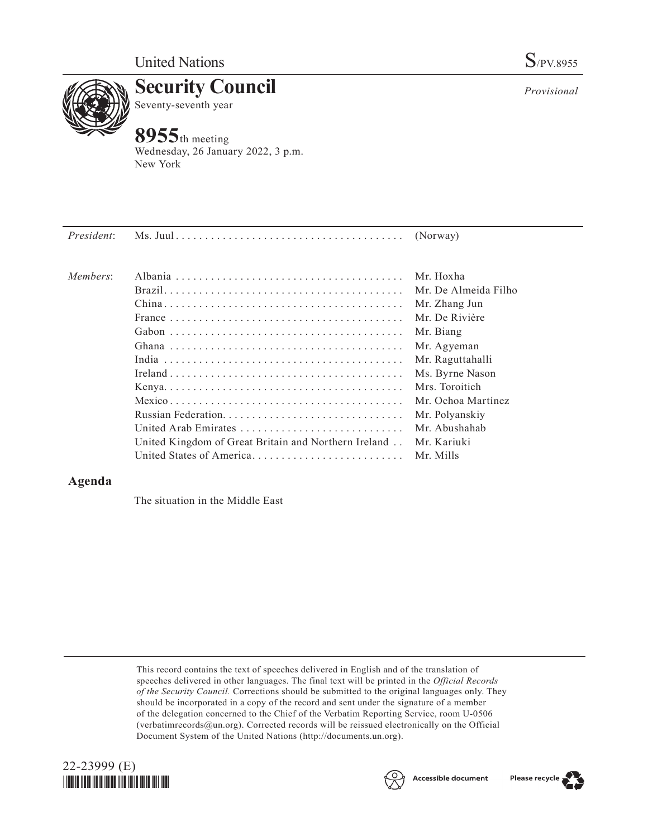

**Security Council** Seventy-seventh year

# **8955**th meeting

Wednesday, 26 January 2022, 3 p.m. New York

| President: |                                                      | (Norway)             |
|------------|------------------------------------------------------|----------------------|
| Members:   |                                                      | Mr. Hoxha            |
|            |                                                      | Mr. De Almeida Filho |
|            |                                                      | Mr. Zhang Jun        |
|            |                                                      | Mr. De Rivière       |
|            |                                                      | Mr. Biang            |
|            |                                                      | Mr. Agyeman          |
|            |                                                      | Mr. Raguttahalli     |
|            |                                                      | Ms. Byrne Nason      |
|            |                                                      | Mrs. Toroitich       |
|            |                                                      | Mr. Ochoa Martínez   |
|            |                                                      | Mr. Polyanskiy       |
|            | United Arab Emirates                                 | Mr. Abushahab        |
|            | United Kingdom of Great Britain and Northern Ireland | Mr. Kariuki          |
|            | United States of America                             | Mr. Mills            |
|            |                                                      |                      |

## **Agenda**

The situation in the Middle East

This record contains the text of speeches delivered in English and of the translation of speeches delivered in other languages. The final text will be printed in the *Official Records of the Security Council.* Corrections should be submitted to the original languages only. They should be incorporated in a copy of the record and sent under the signature of a member of the delegation concerned to the Chief of the Verbatim Reporting Service, room U-0506 (verbatimrecords@un.org). Corrected records will be reissued electronically on the Official Document System of the United Nations (http://documents.un.org).







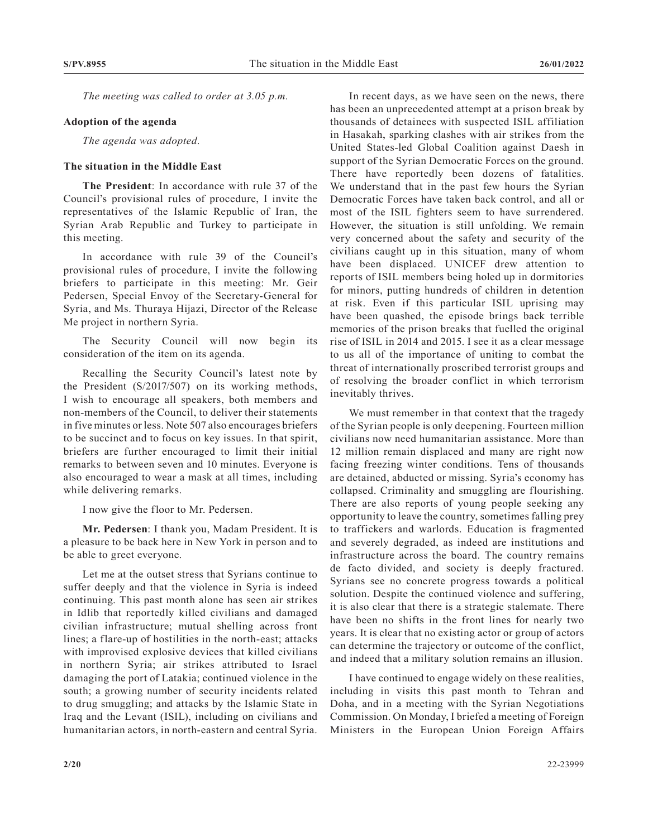*The meeting was called to order at 3.05 p.m.*

#### **Adoption of the agenda**

*The agenda was adopted.*

## **The situation in the Middle East**

**The President**: In accordance with rule 37 of the Council's provisional rules of procedure, I invite the representatives of the Islamic Republic of Iran, the Syrian Arab Republic and Turkey to participate in this meeting.

In accordance with rule 39 of the Council's provisional rules of procedure, I invite the following briefers to participate in this meeting: Mr. Geir Pedersen, Special Envoy of the Secretary-General for Syria, and Ms. Thuraya Hijazi, Director of the Release Me project in northern Syria.

The Security Council will now begin its consideration of the item on its agenda.

Recalling the Security Council's latest note by the President (S/2017/507) on its working methods, I wish to encourage all speakers, both members and non-members of the Council, to deliver their statements in five minutes or less. Note 507 also encourages briefers to be succinct and to focus on key issues. In that spirit, briefers are further encouraged to limit their initial remarks to between seven and 10 minutes. Everyone is also encouraged to wear a mask at all times, including while delivering remarks.

I now give the floor to Mr. Pedersen.

**Mr. Pedersen**: I thank you, Madam President. It is a pleasure to be back here in New York in person and to be able to greet everyone.

Let me at the outset stress that Syrians continue to suffer deeply and that the violence in Syria is indeed continuing. This past month alone has seen air strikes in Idlib that reportedly killed civilians and damaged civilian infrastructure; mutual shelling across front lines; a flare-up of hostilities in the north-east; attacks with improvised explosive devices that killed civilians in northern Syria; air strikes attributed to Israel damaging the port of Latakia; continued violence in the south; a growing number of security incidents related to drug smuggling; and attacks by the Islamic State in Iraq and the Levant (ISIL), including on civilians and humanitarian actors, in north-eastern and central Syria.

In recent days, as we have seen on the news, there has been an unprecedented attempt at a prison break by thousands of detainees with suspected ISIL affiliation in Hasakah, sparking clashes with air strikes from the United States-led Global Coalition against Daesh in support of the Syrian Democratic Forces on the ground. There have reportedly been dozens of fatalities. We understand that in the past few hours the Syrian Democratic Forces have taken back control, and all or most of the ISIL fighters seem to have surrendered. However, the situation is still unfolding. We remain very concerned about the safety and security of the civilians caught up in this situation, many of whom have been displaced. UNICEF drew attention to reports of ISIL members being holed up in dormitories for minors, putting hundreds of children in detention at risk. Even if this particular ISIL uprising may have been quashed, the episode brings back terrible memories of the prison breaks that fuelled the original rise of ISIL in 2014 and 2015. I see it as a clear message to us all of the importance of uniting to combat the threat of internationally proscribed terrorist groups and of resolving the broader conflict in which terrorism inevitably thrives.

We must remember in that context that the tragedy of the Syrian people is only deepening. Fourteen million civilians now need humanitarian assistance. More than 12 million remain displaced and many are right now facing freezing winter conditions. Tens of thousands are detained, abducted or missing. Syria's economy has collapsed. Criminality and smuggling are flourishing. There are also reports of young people seeking any opportunity to leave the country, sometimes falling prey to traffickers and warlords. Education is fragmented and severely degraded, as indeed are institutions and infrastructure across the board. The country remains de facto divided, and society is deeply fractured. Syrians see no concrete progress towards a political solution. Despite the continued violence and suffering, it is also clear that there is a strategic stalemate. There have been no shifts in the front lines for nearly two years. It is clear that no existing actor or group of actors can determine the trajectory or outcome of the conflict, and indeed that a military solution remains an illusion.

I have continued to engage widely on these realities, including in visits this past month to Tehran and Doha, and in a meeting with the Syrian Negotiations Commission. On Monday, I briefed a meeting of Foreign Ministers in the European Union Foreign Affairs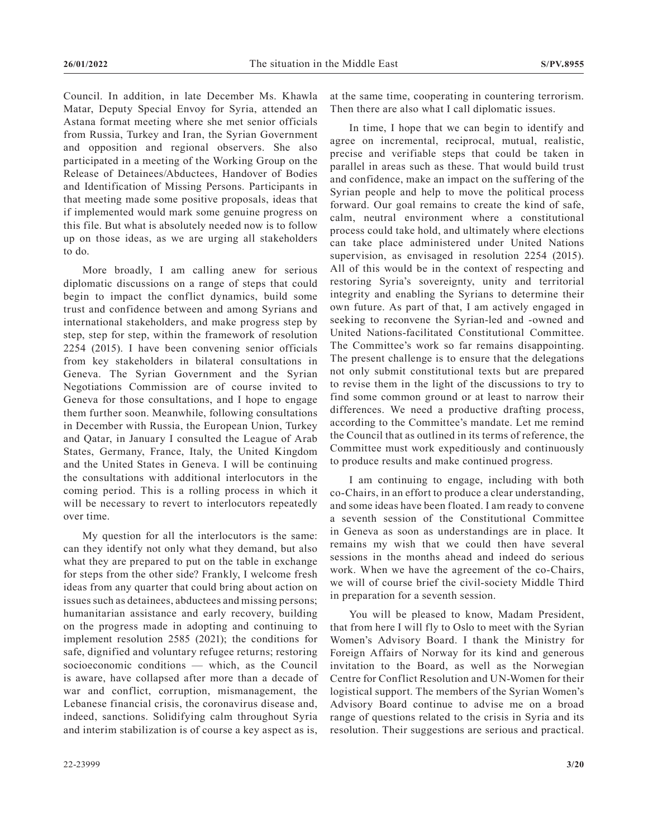Council. In addition, in late December Ms. Khawla Matar, Deputy Special Envoy for Syria, attended an Astana format meeting where she met senior officials from Russia, Turkey and Iran, the Syrian Government and opposition and regional observers. She also participated in a meeting of the Working Group on the Release of Detainees/Abductees, Handover of Bodies and Identification of Missing Persons. Participants in that meeting made some positive proposals, ideas that if implemented would mark some genuine progress on this file. But what is absolutely needed now is to follow up on those ideas, as we are urging all stakeholders to do.

More broadly, I am calling anew for serious diplomatic discussions on a range of steps that could begin to impact the conflict dynamics, build some trust and confidence between and among Syrians and international stakeholders, and make progress step by step, step for step, within the framework of resolution 2254 (2015). I have been convening senior officials from key stakeholders in bilateral consultations in Geneva. The Syrian Government and the Syrian Negotiations Commission are of course invited to Geneva for those consultations, and I hope to engage them further soon. Meanwhile, following consultations in December with Russia, the European Union, Turkey and Qatar, in January I consulted the League of Arab States, Germany, France, Italy, the United Kingdom and the United States in Geneva. I will be continuing the consultations with additional interlocutors in the coming period. This is a rolling process in which it will be necessary to revert to interlocutors repeatedly over time.

My question for all the interlocutors is the same: can they identify not only what they demand, but also what they are prepared to put on the table in exchange for steps from the other side? Frankly, I welcome fresh ideas from any quarter that could bring about action on issues such as detainees, abductees and missing persons; humanitarian assistance and early recovery, building on the progress made in adopting and continuing to implement resolution 2585 (2021); the conditions for safe, dignified and voluntary refugee returns; restoring socioeconomic conditions — which, as the Council is aware, have collapsed after more than a decade of war and conflict, corruption, mismanagement, the Lebanese financial crisis, the coronavirus disease and, indeed, sanctions. Solidifying calm throughout Syria and interim stabilization is of course a key aspect as is,

at the same time, cooperating in countering terrorism. Then there are also what I call diplomatic issues.

In time, I hope that we can begin to identify and agree on incremental, reciprocal, mutual, realistic, precise and verifiable steps that could be taken in parallel in areas such as these. That would build trust and confidence, make an impact on the suffering of the Syrian people and help to move the political process forward. Our goal remains to create the kind of safe, calm, neutral environment where a constitutional process could take hold, and ultimately where elections can take place administered under United Nations supervision, as envisaged in resolution 2254 (2015). All of this would be in the context of respecting and restoring Syria's sovereignty, unity and territorial integrity and enabling the Syrians to determine their own future. As part of that, I am actively engaged in seeking to reconvene the Syrian-led and -owned and United Nations-facilitated Constitutional Committee. The Committee's work so far remains disappointing. The present challenge is to ensure that the delegations not only submit constitutional texts but are prepared to revise them in the light of the discussions to try to find some common ground or at least to narrow their differences. We need a productive drafting process, according to the Committee's mandate. Let me remind the Council that as outlined in its terms of reference, the Committee must work expeditiously and continuously to produce results and make continued progress.

I am continuing to engage, including with both co-Chairs, in an effort to produce a clear understanding, and some ideas have been floated. I am ready to convene a seventh session of the Constitutional Committee in Geneva as soon as understandings are in place. It remains my wish that we could then have several sessions in the months ahead and indeed do serious work. When we have the agreement of the co-Chairs, we will of course brief the civil-society Middle Third in preparation for a seventh session.

You will be pleased to know, Madam President, that from here I will fly to Oslo to meet with the Syrian Women's Advisory Board. I thank the Ministry for Foreign Affairs of Norway for its kind and generous invitation to the Board, as well as the Norwegian Centre for Conflict Resolution and UN-Women for their logistical support. The members of the Syrian Women's Advisory Board continue to advise me on a broad range of questions related to the crisis in Syria and its resolution. Their suggestions are serious and practical.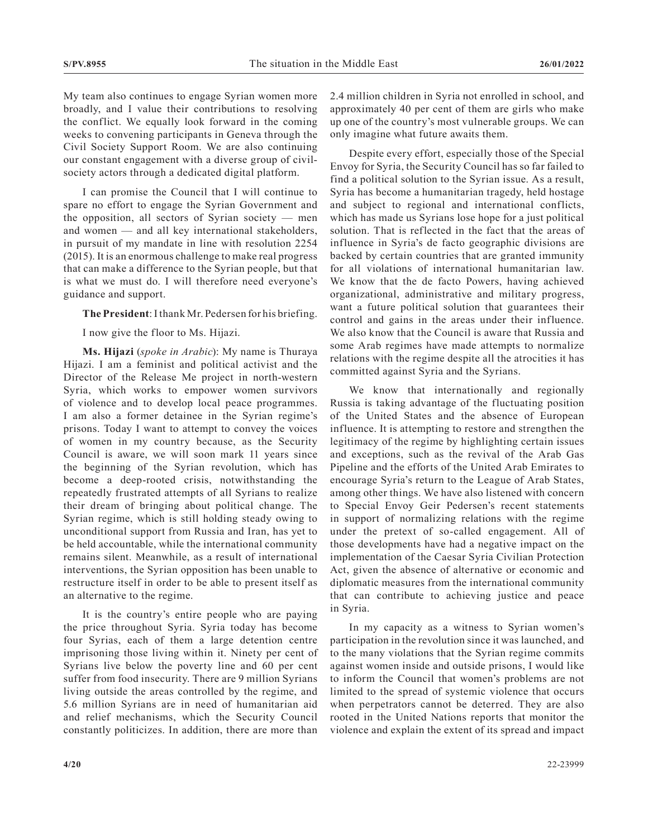My team also continues to engage Syrian women more broadly, and I value their contributions to resolving the conflict. We equally look forward in the coming weeks to convening participants in Geneva through the Civil Society Support Room. We are also continuing our constant engagement with a diverse group of civilsociety actors through a dedicated digital platform.

I can promise the Council that I will continue to spare no effort to engage the Syrian Government and the opposition, all sectors of Syrian society  $-$  men and women — and all key international stakeholders, in pursuit of my mandate in line with resolution 2254 (2015). It is an enormous challenge to make real progress that can make a difference to the Syrian people, but that is what we must do. I will therefore need everyone's guidance and support.

**The President**: I thank Mr. Pedersen for his briefing.

I now give the floor to Ms. Hijazi.

**Ms. Hijazi** (*spoke in Arabic*): My name is Thuraya Hijazi. I am a feminist and political activist and the Director of the Release Me project in north-western Syria, which works to empower women survivors of violence and to develop local peace programmes. I am also a former detainee in the Syrian regime's prisons. Today I want to attempt to convey the voices of women in my country because, as the Security Council is aware, we will soon mark 11 years since the beginning of the Syrian revolution, which has become a deep-rooted crisis, notwithstanding the repeatedly frustrated attempts of all Syrians to realize their dream of bringing about political change. The Syrian regime, which is still holding steady owing to unconditional support from Russia and Iran, has yet to be held accountable, while the international community remains silent. Meanwhile, as a result of international interventions, the Syrian opposition has been unable to restructure itself in order to be able to present itself as an alternative to the regime.

It is the country's entire people who are paying the price throughout Syria. Syria today has become four Syrias, each of them a large detention centre imprisoning those living within it. Ninety per cent of Syrians live below the poverty line and 60 per cent suffer from food insecurity. There are 9 million Syrians living outside the areas controlled by the regime, and 5.6 million Syrians are in need of humanitarian aid and relief mechanisms, which the Security Council constantly politicizes. In addition, there are more than

2.4 million children in Syria not enrolled in school, and approximately 40 per cent of them are girls who make up one of the country's most vulnerable groups. We can only imagine what future awaits them.

Despite every effort, especially those of the Special Envoy for Syria, the Security Council has so far failed to find a political solution to the Syrian issue. As a result, Syria has become a humanitarian tragedy, held hostage and subject to regional and international conflicts, which has made us Syrians lose hope for a just political solution. That is reflected in the fact that the areas of influence in Syria's de facto geographic divisions are backed by certain countries that are granted immunity for all violations of international humanitarian law. We know that the de facto Powers, having achieved organizational, administrative and military progress, want a future political solution that guarantees their control and gains in the areas under their influence. We also know that the Council is aware that Russia and some Arab regimes have made attempts to normalize relations with the regime despite all the atrocities it has committed against Syria and the Syrians.

We know that internationally and regionally Russia is taking advantage of the fluctuating position of the United States and the absence of European influence. It is attempting to restore and strengthen the legitimacy of the regime by highlighting certain issues and exceptions, such as the revival of the Arab Gas Pipeline and the efforts of the United Arab Emirates to encourage Syria's return to the League of Arab States, among other things. We have also listened with concern to Special Envoy Geir Pedersen's recent statements in support of normalizing relations with the regime under the pretext of so-called engagement. All of those developments have had a negative impact on the implementation of the Caesar Syria Civilian Protection Act, given the absence of alternative or economic and diplomatic measures from the international community that can contribute to achieving justice and peace in Syria.

In my capacity as a witness to Syrian women's participation in the revolution since it was launched, and to the many violations that the Syrian regime commits against women inside and outside prisons, I would like to inform the Council that women's problems are not limited to the spread of systemic violence that occurs when perpetrators cannot be deterred. They are also rooted in the United Nations reports that monitor the violence and explain the extent of its spread and impact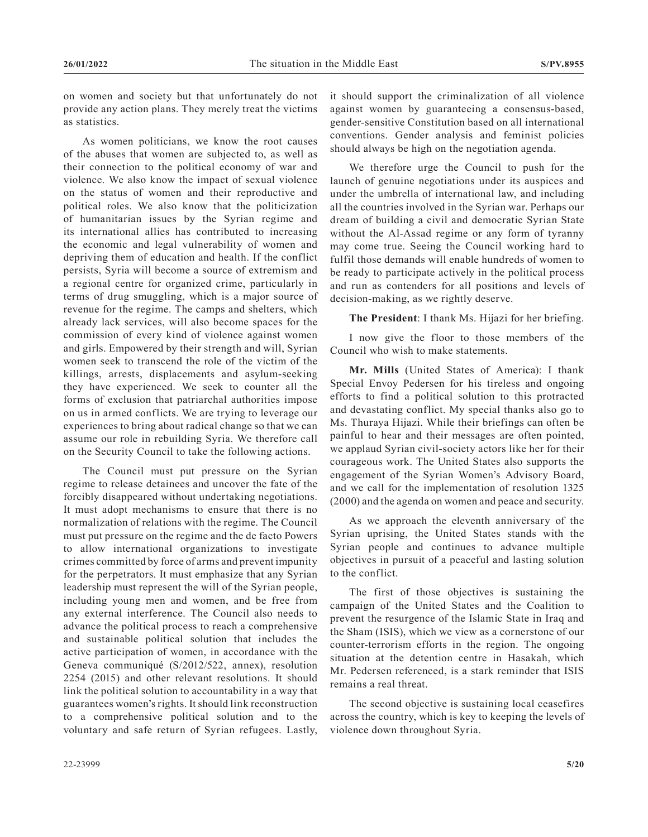on women and society but that unfortunately do not provide any action plans. They merely treat the victims as statistics.

As women politicians, we know the root causes of the abuses that women are subjected to, as well as their connection to the political economy of war and violence. We also know the impact of sexual violence on the status of women and their reproductive and political roles. We also know that the politicization of humanitarian issues by the Syrian regime and its international allies has contributed to increasing the economic and legal vulnerability of women and depriving them of education and health. If the conflict persists, Syria will become a source of extremism and a regional centre for organized crime, particularly in terms of drug smuggling, which is a major source of revenue for the regime. The camps and shelters, which already lack services, will also become spaces for the commission of every kind of violence against women and girls. Empowered by their strength and will, Syrian women seek to transcend the role of the victim of the killings, arrests, displacements and asylum-seeking they have experienced. We seek to counter all the forms of exclusion that patriarchal authorities impose on us in armed conflicts. We are trying to leverage our experiences to bring about radical change so that we can assume our role in rebuilding Syria. We therefore call on the Security Council to take the following actions.

The Council must put pressure on the Syrian regime to release detainees and uncover the fate of the forcibly disappeared without undertaking negotiations. It must adopt mechanisms to ensure that there is no normalization of relations with the regime. The Council must put pressure on the regime and the de facto Powers to allow international organizations to investigate crimes committed by force of arms and prevent impunity for the perpetrators. It must emphasize that any Syrian leadership must represent the will of the Syrian people, including young men and women, and be free from any external interference. The Council also needs to advance the political process to reach a comprehensive and sustainable political solution that includes the active participation of women, in accordance with the Geneva communiqué (S/2012/522, annex), resolution 2254 (2015) and other relevant resolutions. It should link the political solution to accountability in a way that guarantees women's rights. It should link reconstruction to a comprehensive political solution and to the voluntary and safe return of Syrian refugees. Lastly,

it should support the criminalization of all violence against women by guaranteeing a consensus-based, gender-sensitive Constitution based on all international conventions. Gender analysis and feminist policies should always be high on the negotiation agenda.

We therefore urge the Council to push for the launch of genuine negotiations under its auspices and under the umbrella of international law, and including all the countries involved in the Syrian war. Perhaps our dream of building a civil and democratic Syrian State without the Al-Assad regime or any form of tyranny may come true. Seeing the Council working hard to fulfil those demands will enable hundreds of women to be ready to participate actively in the political process and run as contenders for all positions and levels of decision-making, as we rightly deserve.

**The President**: I thank Ms. Hijazi for her briefing.

I now give the floor to those members of the Council who wish to make statements.

**Mr. Mills** (United States of America): I thank Special Envoy Pedersen for his tireless and ongoing efforts to find a political solution to this protracted and devastating conflict. My special thanks also go to Ms. Thuraya Hijazi. While their briefings can often be painful to hear and their messages are often pointed, we applaud Syrian civil-society actors like her for their courageous work. The United States also supports the engagement of the Syrian Women's Advisory Board, and we call for the implementation of resolution 1325 (2000) and the agenda on women and peace and security.

As we approach the eleventh anniversary of the Syrian uprising, the United States stands with the Syrian people and continues to advance multiple objectives in pursuit of a peaceful and lasting solution to the conflict.

The first of those objectives is sustaining the campaign of the United States and the Coalition to prevent the resurgence of the Islamic State in Iraq and the Sham (ISIS), which we view as a cornerstone of our counter-terrorism efforts in the region. The ongoing situation at the detention centre in Hasakah, which Mr. Pedersen referenced, is a stark reminder that ISIS remains a real threat.

The second objective is sustaining local ceasefires across the country, which is key to keeping the levels of violence down throughout Syria.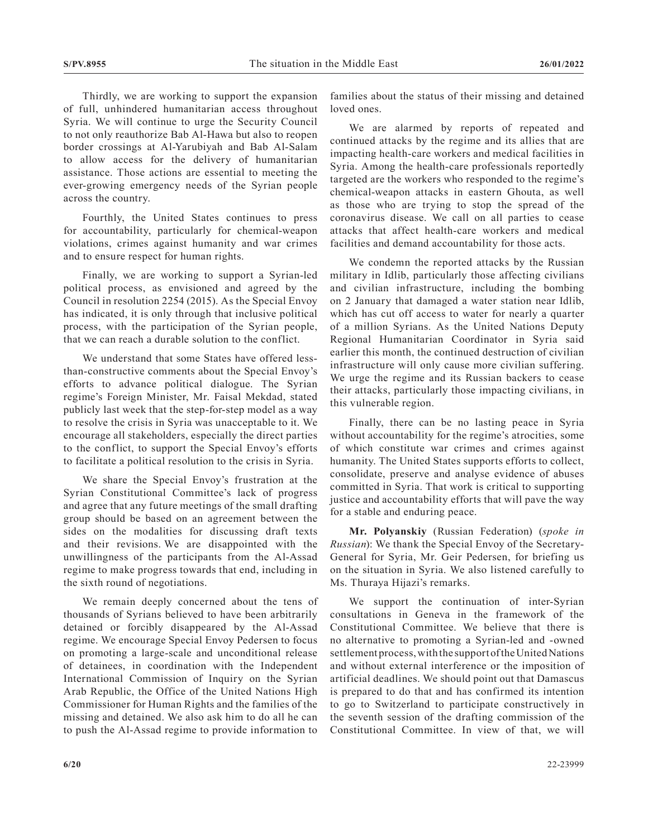Thirdly, we are working to support the expansion of full, unhindered humanitarian access throughout Syria. We will continue to urge the Security Council to not only reauthorize Bab Al-Hawa but also to reopen border crossings at Al-Yarubiyah and Bab Al-Salam to allow access for the delivery of humanitarian assistance. Those actions are essential to meeting the ever-growing emergency needs of the Syrian people across the country.

Fourthly, the United States continues to press for accountability, particularly for chemical-weapon violations, crimes against humanity and war crimes and to ensure respect for human rights.

Finally, we are working to support a Syrian-led political process, as envisioned and agreed by the Council in resolution 2254 (2015). As the Special Envoy has indicated, it is only through that inclusive political process, with the participation of the Syrian people, that we can reach a durable solution to the conflict.

We understand that some States have offered lessthan-constructive comments about the Special Envoy's efforts to advance political dialogue. The Syrian regime's Foreign Minister, Mr. Faisal Mekdad, stated publicly last week that the step-for-step model as a way to resolve the crisis in Syria was unacceptable to it. We encourage all stakeholders, especially the direct parties to the conflict, to support the Special Envoy's efforts to facilitate a political resolution to the crisis in Syria.

We share the Special Envoy's frustration at the Syrian Constitutional Committee's lack of progress and agree that any future meetings of the small drafting group should be based on an agreement between the sides on the modalities for discussing draft texts and their revisions. We are disappointed with the unwillingness of the participants from the Al-Assad regime to make progress towards that end, including in the sixth round of negotiations.

We remain deeply concerned about the tens of thousands of Syrians believed to have been arbitrarily detained or forcibly disappeared by the Al-Assad regime. We encourage Special Envoy Pedersen to focus on promoting a large-scale and unconditional release of detainees, in coordination with the Independent International Commission of Inquiry on the Syrian Arab Republic, the Office of the United Nations High Commissioner for Human Rights and the families of the missing and detained. We also ask him to do all he can to push the Al-Assad regime to provide information to

families about the status of their missing and detained loved ones.

We are alarmed by reports of repeated and continued attacks by the regime and its allies that are impacting health-care workers and medical facilities in Syria. Among the health-care professionals reportedly targeted are the workers who responded to the regime's chemical-weapon attacks in eastern Ghouta, as well as those who are trying to stop the spread of the coronavirus disease. We call on all parties to cease attacks that affect health-care workers and medical facilities and demand accountability for those acts.

We condemn the reported attacks by the Russian military in Idlib, particularly those affecting civilians and civilian infrastructure, including the bombing on 2 January that damaged a water station near Idlib, which has cut off access to water for nearly a quarter of a million Syrians. As the United Nations Deputy Regional Humanitarian Coordinator in Syria said earlier this month, the continued destruction of civilian infrastructure will only cause more civilian suffering. We urge the regime and its Russian backers to cease their attacks, particularly those impacting civilians, in this vulnerable region.

Finally, there can be no lasting peace in Syria without accountability for the regime's atrocities, some of which constitute war crimes and crimes against humanity. The United States supports efforts to collect, consolidate, preserve and analyse evidence of abuses committed in Syria. That work is critical to supporting justice and accountability efforts that will pave the way for a stable and enduring peace.

**Mr. Polyanskiy** (Russian Federation) (*spoke in Russian*): We thank the Special Envoy of the Secretary-General for Syria, Mr. Geir Pedersen, for briefing us on the situation in Syria. We also listened carefully to Ms. Thuraya Hijazi's remarks.

We support the continuation of inter-Syrian consultations in Geneva in the framework of the Constitutional Committee. We believe that there is no alternative to promoting a Syrian-led and -owned settlement process, with the support of the United Nations and without external interference or the imposition of artificial deadlines. We should point out that Damascus is prepared to do that and has confirmed its intention to go to Switzerland to participate constructively in the seventh session of the drafting commission of the Constitutional Committee. In view of that, we will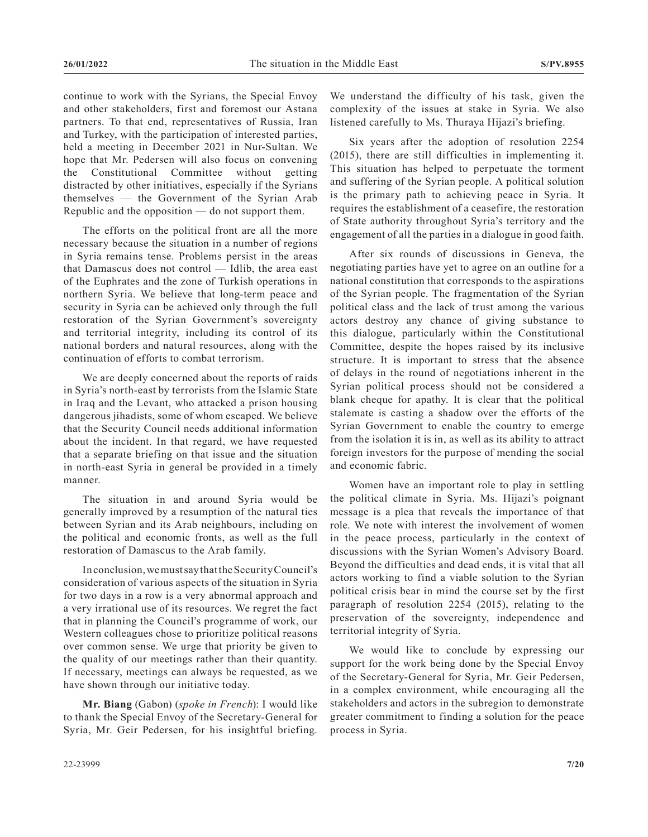continue to work with the Syrians, the Special Envoy and other stakeholders, first and foremost our Astana partners. To that end, representatives of Russia, Iran and Turkey, with the participation of interested parties, held a meeting in December 2021 in Nur-Sultan. We hope that Mr. Pedersen will also focus on convening the Constitutional Committee without getting distracted by other initiatives, especially if the Syrians themselves — the Government of the Syrian Arab Republic and the opposition — do not support them.

The efforts on the political front are all the more necessary because the situation in a number of regions in Syria remains tense. Problems persist in the areas that Damascus does not control — Idlib, the area east of the Euphrates and the zone of Turkish operations in northern Syria. We believe that long-term peace and security in Syria can be achieved only through the full restoration of the Syrian Government's sovereignty and territorial integrity, including its control of its national borders and natural resources, along with the continuation of efforts to combat terrorism.

We are deeply concerned about the reports of raids in Syria's north-east by terrorists from the Islamic State in Iraq and the Levant, who attacked a prison housing dangerous jihadists, some of whom escaped. We believe that the Security Council needs additional information about the incident. In that regard, we have requested that a separate briefing on that issue and the situation in north-east Syria in general be provided in a timely manner.

The situation in and around Syria would be generally improved by a resumption of the natural ties between Syrian and its Arab neighbours, including on the political and economic fronts, as well as the full restoration of Damascus to the Arab family.

In conclusion, we must say that the Security Council's consideration of various aspects of the situation in Syria for two days in a row is a very abnormal approach and a very irrational use of its resources. We regret the fact that in planning the Council's programme of work, our Western colleagues chose to prioritize political reasons over common sense. We urge that priority be given to the quality of our meetings rather than their quantity. If necessary, meetings can always be requested, as we have shown through our initiative today.

**Mr. Biang** (Gabon) (*spoke in French*): I would like to thank the Special Envoy of the Secretary-General for Syria, Mr. Geir Pedersen, for his insightful briefing. We understand the difficulty of his task, given the complexity of the issues at stake in Syria. We also listened carefully to Ms. Thuraya Hijazi's briefing.

Six years after the adoption of resolution 2254 (2015), there are still difficulties in implementing it. This situation has helped to perpetuate the torment and suffering of the Syrian people. A political solution is the primary path to achieving peace in Syria. It requires the establishment of a ceasefire, the restoration of State authority throughout Syria's territory and the engagement of all the parties in a dialogue in good faith.

After six rounds of discussions in Geneva, the negotiating parties have yet to agree on an outline for a national constitution that corresponds to the aspirations of the Syrian people. The fragmentation of the Syrian political class and the lack of trust among the various actors destroy any chance of giving substance to this dialogue, particularly within the Constitutional Committee, despite the hopes raised by its inclusive structure. It is important to stress that the absence of delays in the round of negotiations inherent in the Syrian political process should not be considered a blank cheque for apathy. It is clear that the political stalemate is casting a shadow over the efforts of the Syrian Government to enable the country to emerge from the isolation it is in, as well as its ability to attract foreign investors for the purpose of mending the social and economic fabric.

Women have an important role to play in settling the political climate in Syria. Ms. Hijazi's poignant message is a plea that reveals the importance of that role. We note with interest the involvement of women in the peace process, particularly in the context of discussions with the Syrian Women's Advisory Board. Beyond the difficulties and dead ends, it is vital that all actors working to find a viable solution to the Syrian political crisis bear in mind the course set by the first paragraph of resolution 2254 (2015), relating to the preservation of the sovereignty, independence and territorial integrity of Syria.

We would like to conclude by expressing our support for the work being done by the Special Envoy of the Secretary-General for Syria, Mr. Geir Pedersen, in a complex environment, while encouraging all the stakeholders and actors in the subregion to demonstrate greater commitment to finding a solution for the peace process in Syria.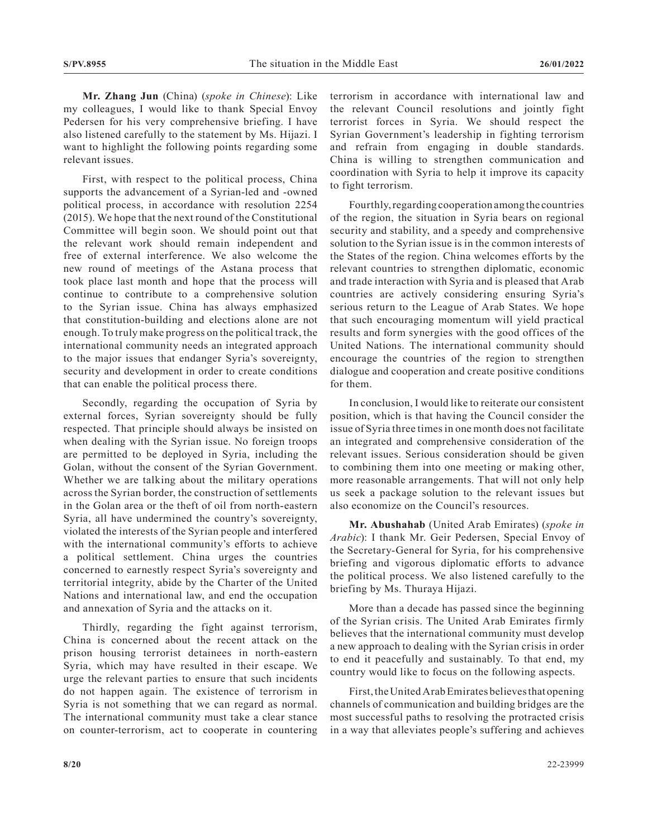**Mr. Zhang Jun** (China) (*spoke in Chinese*): Like my colleagues, I would like to thank Special Envoy Pedersen for his very comprehensive briefing. I have also listened carefully to the statement by Ms. Hijazi. I want to highlight the following points regarding some relevant issues.

First, with respect to the political process, China supports the advancement of a Syrian-led and -owned political process, in accordance with resolution 2254 (2015). We hope that the next round of the Constitutional Committee will begin soon. We should point out that the relevant work should remain independent and free of external interference. We also welcome the new round of meetings of the Astana process that took place last month and hope that the process will continue to contribute to a comprehensive solution to the Syrian issue. China has always emphasized that constitution-building and elections alone are not enough. To truly make progress on the political track, the international community needs an integrated approach to the major issues that endanger Syria's sovereignty, security and development in order to create conditions that can enable the political process there.

Secondly, regarding the occupation of Syria by external forces, Syrian sovereignty should be fully respected. That principle should always be insisted on when dealing with the Syrian issue. No foreign troops are permitted to be deployed in Syria, including the Golan, without the consent of the Syrian Government. Whether we are talking about the military operations across the Syrian border, the construction of settlements in the Golan area or the theft of oil from north-eastern Syria, all have undermined the country's sovereignty, violated the interests of the Syrian people and interfered with the international community's efforts to achieve a political settlement. China urges the countries concerned to earnestly respect Syria's sovereignty and territorial integrity, abide by the Charter of the United Nations and international law, and end the occupation and annexation of Syria and the attacks on it.

Thirdly, regarding the fight against terrorism, China is concerned about the recent attack on the prison housing terrorist detainees in north-eastern Syria, which may have resulted in their escape. We urge the relevant parties to ensure that such incidents do not happen again. The existence of terrorism in Syria is not something that we can regard as normal. The international community must take a clear stance on counter-terrorism, act to cooperate in countering

terrorism in accordance with international law and the relevant Council resolutions and jointly fight terrorist forces in Syria. We should respect the Syrian Government's leadership in fighting terrorism and refrain from engaging in double standards. China is willing to strengthen communication and coordination with Syria to help it improve its capacity to fight terrorism.

Fourthly, regarding cooperation among the countries of the region, the situation in Syria bears on regional security and stability, and a speedy and comprehensive solution to the Syrian issue is in the common interests of the States of the region. China welcomes efforts by the relevant countries to strengthen diplomatic, economic and trade interaction with Syria and is pleased that Arab countries are actively considering ensuring Syria's serious return to the League of Arab States. We hope that such encouraging momentum will yield practical results and form synergies with the good offices of the United Nations. The international community should encourage the countries of the region to strengthen dialogue and cooperation and create positive conditions for them.

In conclusion, I would like to reiterate our consistent position, which is that having the Council consider the issue of Syria three times in one month does not facilitate an integrated and comprehensive consideration of the relevant issues. Serious consideration should be given to combining them into one meeting or making other, more reasonable arrangements. That will not only help us seek a package solution to the relevant issues but also economize on the Council's resources.

**Mr. Abushahab** (United Arab Emirates) (*spoke in Arabic*): I thank Mr. Geir Pedersen, Special Envoy of the Secretary-General for Syria, for his comprehensive briefing and vigorous diplomatic efforts to advance the political process. We also listened carefully to the briefing by Ms. Thuraya Hijazi.

More than a decade has passed since the beginning of the Syrian crisis. The United Arab Emirates firmly believes that the international community must develop a new approach to dealing with the Syrian crisis in order to end it peacefully and sustainably. To that end, my country would like to focus on the following aspects.

First, the United Arab Emirates believes that opening channels of communication and building bridges are the most successful paths to resolving the protracted crisis in a way that alleviates people's suffering and achieves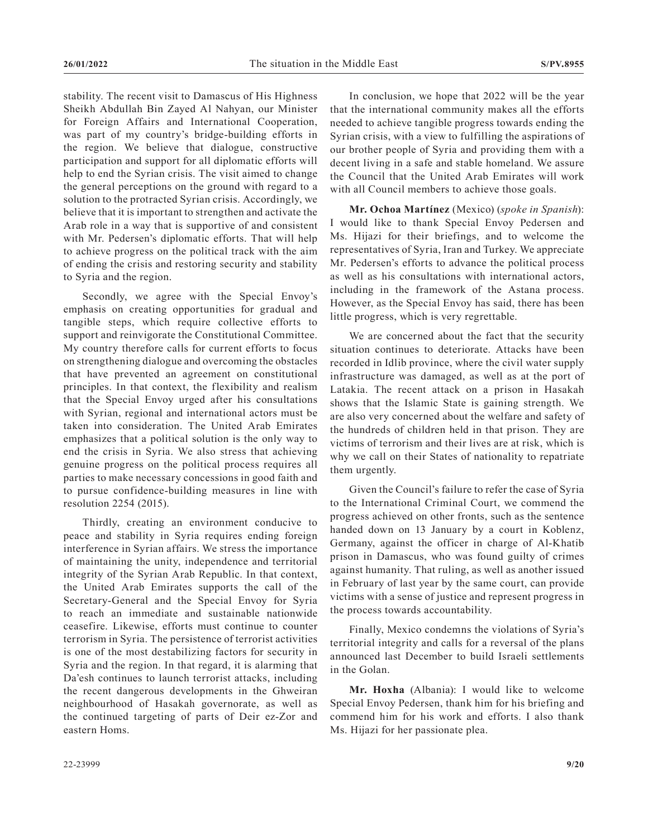stability. The recent visit to Damascus of His Highness Sheikh Abdullah Bin Zayed Al Nahyan, our Minister for Foreign Affairs and International Cooperation, was part of my country's bridge-building efforts in the region. We believe that dialogue, constructive participation and support for all diplomatic efforts will help to end the Syrian crisis. The visit aimed to change the general perceptions on the ground with regard to a solution to the protracted Syrian crisis. Accordingly, we believe that it is important to strengthen and activate the Arab role in a way that is supportive of and consistent with Mr. Pedersen's diplomatic efforts. That will help to achieve progress on the political track with the aim of ending the crisis and restoring security and stability to Syria and the region.

Secondly, we agree with the Special Envoy's emphasis on creating opportunities for gradual and tangible steps, which require collective efforts to support and reinvigorate the Constitutional Committee. My country therefore calls for current efforts to focus on strengthening dialogue and overcoming the obstacles that have prevented an agreement on constitutional principles. In that context, the flexibility and realism that the Special Envoy urged after his consultations with Syrian, regional and international actors must be taken into consideration. The United Arab Emirates emphasizes that a political solution is the only way to end the crisis in Syria. We also stress that achieving genuine progress on the political process requires all parties to make necessary concessions in good faith and to pursue confidence-building measures in line with resolution 2254 (2015).

Thirdly, creating an environment conducive to peace and stability in Syria requires ending foreign interference in Syrian affairs. We stress the importance of maintaining the unity, independence and territorial integrity of the Syrian Arab Republic. In that context, the United Arab Emirates supports the call of the Secretary-General and the Special Envoy for Syria to reach an immediate and sustainable nationwide ceasefire. Likewise, efforts must continue to counter terrorism in Syria. The persistence of terrorist activities is one of the most destabilizing factors for security in Syria and the region. In that regard, it is alarming that Da'esh continues to launch terrorist attacks, including the recent dangerous developments in the Ghweiran neighbourhood of Hasakah governorate, as well as the continued targeting of parts of Deir ez-Zor and eastern Homs.

In conclusion, we hope that 2022 will be the year that the international community makes all the efforts needed to achieve tangible progress towards ending the Syrian crisis, with a view to fulfilling the aspirations of our brother people of Syria and providing them with a decent living in a safe and stable homeland. We assure the Council that the United Arab Emirates will work with all Council members to achieve those goals.

**Mr. Ochoa Martínez** (Mexico) (*spoke in Spanish*): I would like to thank Special Envoy Pedersen and Ms. Hijazi for their briefings, and to welcome the representatives of Syria, Iran and Turkey. We appreciate Mr. Pedersen's efforts to advance the political process as well as his consultations with international actors, including in the framework of the Astana process. However, as the Special Envoy has said, there has been little progress, which is very regrettable.

We are concerned about the fact that the security situation continues to deteriorate. Attacks have been recorded in Idlib province, where the civil water supply infrastructure was damaged, as well as at the port of Latakia. The recent attack on a prison in Hasakah shows that the Islamic State is gaining strength. We are also very concerned about the welfare and safety of the hundreds of children held in that prison. They are victims of terrorism and their lives are at risk, which is why we call on their States of nationality to repatriate them urgently.

Given the Council's failure to refer the case of Syria to the International Criminal Court, we commend the progress achieved on other fronts, such as the sentence handed down on 13 January by a court in Koblenz, Germany, against the officer in charge of Al-Khatib prison in Damascus, who was found guilty of crimes against humanity. That ruling, as well as another issued in February of last year by the same court, can provide victims with a sense of justice and represent progress in the process towards accountability.

Finally, Mexico condemns the violations of Syria's territorial integrity and calls for a reversal of the plans announced last December to build Israeli settlements in the Golan.

**Mr. Hoxha** (Albania): I would like to welcome Special Envoy Pedersen, thank him for his briefing and commend him for his work and efforts. I also thank Ms. Hijazi for her passionate plea.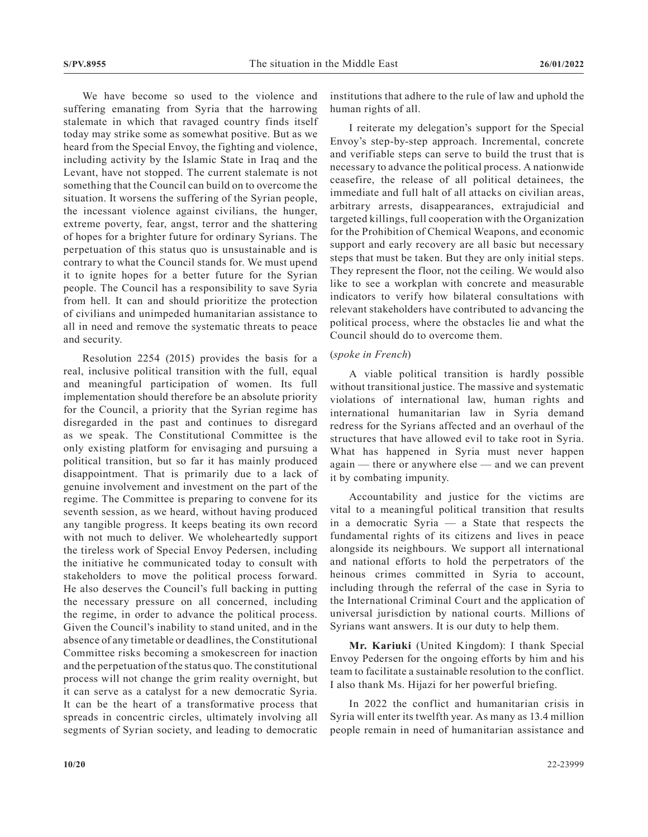We have become so used to the violence and suffering emanating from Syria that the harrowing stalemate in which that ravaged country finds itself today may strike some as somewhat positive. But as we heard from the Special Envoy, the fighting and violence, including activity by the Islamic State in Iraq and the Levant, have not stopped. The current stalemate is not something that the Council can build on to overcome the situation. It worsens the suffering of the Syrian people, the incessant violence against civilians, the hunger, extreme poverty, fear, angst, terror and the shattering of hopes for a brighter future for ordinary Syrians. The perpetuation of this status quo is unsustainable and is contrary to what the Council stands for. We must upend it to ignite hopes for a better future for the Syrian people. The Council has a responsibility to save Syria from hell. It can and should prioritize the protection of civilians and unimpeded humanitarian assistance to all in need and remove the systematic threats to peace and security.

Resolution 2254 (2015) provides the basis for a real, inclusive political transition with the full, equal and meaningful participation of women. Its full implementation should therefore be an absolute priority for the Council, a priority that the Syrian regime has disregarded in the past and continues to disregard as we speak. The Constitutional Committee is the only existing platform for envisaging and pursuing a political transition, but so far it has mainly produced disappointment. That is primarily due to a lack of genuine involvement and investment on the part of the regime. The Committee is preparing to convene for its seventh session, as we heard, without having produced any tangible progress. It keeps beating its own record with not much to deliver. We wholeheartedly support the tireless work of Special Envoy Pedersen, including the initiative he communicated today to consult with stakeholders to move the political process forward. He also deserves the Council's full backing in putting the necessary pressure on all concerned, including the regime, in order to advance the political process. Given the Council's inability to stand united, and in the absence of any timetable or deadlines, the Constitutional Committee risks becoming a smokescreen for inaction and the perpetuation of the status quo. The constitutional process will not change the grim reality overnight, but it can serve as a catalyst for a new democratic Syria. It can be the heart of a transformative process that spreads in concentric circles, ultimately involving all segments of Syrian society, and leading to democratic

institutions that adhere to the rule of law and uphold the human rights of all.

I reiterate my delegation's support for the Special Envoy's step-by-step approach. Incremental, concrete and verifiable steps can serve to build the trust that is necessary to advance the political process. A nationwide ceasefire, the release of all political detainees, the immediate and full halt of all attacks on civilian areas, arbitrary arrests, disappearances, extrajudicial and targeted killings, full cooperation with the Organization for the Prohibition of Chemical Weapons, and economic support and early recovery are all basic but necessary steps that must be taken. But they are only initial steps. They represent the floor, not the ceiling. We would also like to see a workplan with concrete and measurable indicators to verify how bilateral consultations with relevant stakeholders have contributed to advancing the political process, where the obstacles lie and what the Council should do to overcome them.

### (*spoke in French*)

A viable political transition is hardly possible without transitional justice. The massive and systematic violations of international law, human rights and international humanitarian law in Syria demand redress for the Syrians affected and an overhaul of the structures that have allowed evil to take root in Syria. What has happened in Syria must never happen again — there or anywhere else — and we can prevent it by combating impunity.

Accountability and justice for the victims are vital to a meaningful political transition that results in a democratic Syria — a State that respects the fundamental rights of its citizens and lives in peace alongside its neighbours. We support all international and national efforts to hold the perpetrators of the heinous crimes committed in Syria to account, including through the referral of the case in Syria to the International Criminal Court and the application of universal jurisdiction by national courts. Millions of Syrians want answers. It is our duty to help them.

**Mr. Kariuki** (United Kingdom): I thank Special Envoy Pedersen for the ongoing efforts by him and his team to facilitate a sustainable resolution to the conflict. I also thank Ms. Hijazi for her powerful briefing.

In 2022 the conflict and humanitarian crisis in Syria will enter its twelfth year. As many as 13.4 million people remain in need of humanitarian assistance and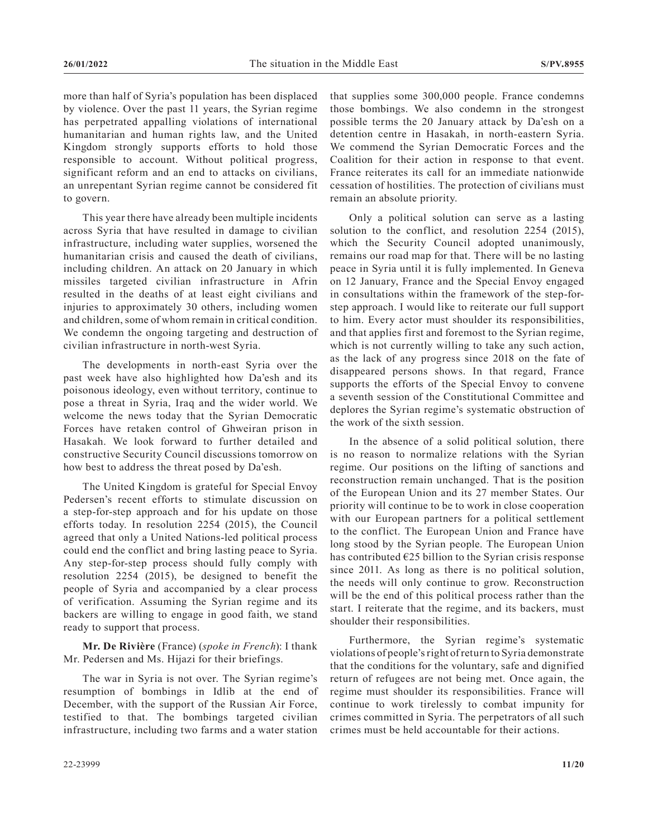more than half of Syria's population has been displaced by violence. Over the past 11 years, the Syrian regime has perpetrated appalling violations of international humanitarian and human rights law, and the United Kingdom strongly supports efforts to hold those responsible to account. Without political progress, significant reform and an end to attacks on civilians, an unrepentant Syrian regime cannot be considered fit to govern.

This year there have already been multiple incidents across Syria that have resulted in damage to civilian infrastructure, including water supplies, worsened the humanitarian crisis and caused the death of civilians, including children. An attack on 20 January in which missiles targeted civilian infrastructure in Afrin resulted in the deaths of at least eight civilians and injuries to approximately 30 others, including women and children, some of whom remain in critical condition. We condemn the ongoing targeting and destruction of civilian infrastructure in north-west Syria.

The developments in north-east Syria over the past week have also highlighted how Da'esh and its poisonous ideology, even without territory, continue to pose a threat in Syria, Iraq and the wider world. We welcome the news today that the Syrian Democratic Forces have retaken control of Ghweiran prison in Hasakah. We look forward to further detailed and constructive Security Council discussions tomorrow on how best to address the threat posed by Da'esh.

The United Kingdom is grateful for Special Envoy Pedersen's recent efforts to stimulate discussion on a step-for-step approach and for his update on those efforts today. In resolution 2254 (2015), the Council agreed that only a United Nations-led political process could end the conflict and bring lasting peace to Syria. Any step-for-step process should fully comply with resolution 2254 (2015), be designed to benefit the people of Syria and accompanied by a clear process of verification. Assuming the Syrian regime and its backers are willing to engage in good faith, we stand ready to support that process.

**Mr. De Rivière** (France) (*spoke in French*): I thank Mr. Pedersen and Ms. Hijazi for their briefings.

The war in Syria is not over. The Syrian regime's resumption of bombings in Idlib at the end of December, with the support of the Russian Air Force, testified to that. The bombings targeted civilian infrastructure, including two farms and a water station

that supplies some 300,000 people. France condemns those bombings. We also condemn in the strongest possible terms the 20 January attack by Da'esh on a detention centre in Hasakah, in north-eastern Syria. We commend the Syrian Democratic Forces and the Coalition for their action in response to that event. France reiterates its call for an immediate nationwide cessation of hostilities. The protection of civilians must remain an absolute priority.

Only a political solution can serve as a lasting solution to the conflict, and resolution 2254 (2015), which the Security Council adopted unanimously, remains our road map for that. There will be no lasting peace in Syria until it is fully implemented. In Geneva on 12 January, France and the Special Envoy engaged in consultations within the framework of the step-forstep approach. I would like to reiterate our full support to him. Every actor must shoulder its responsibilities, and that applies first and foremost to the Syrian regime, which is not currently willing to take any such action, as the lack of any progress since 2018 on the fate of disappeared persons shows. In that regard, France supports the efforts of the Special Envoy to convene a seventh session of the Constitutional Committee and deplores the Syrian regime's systematic obstruction of the work of the sixth session.

In the absence of a solid political solution, there is no reason to normalize relations with the Syrian regime. Our positions on the lifting of sanctions and reconstruction remain unchanged. That is the position of the European Union and its 27 member States. Our priority will continue to be to work in close cooperation with our European partners for a political settlement to the conflict. The European Union and France have long stood by the Syrian people. The European Union has contributed  $E25$  billion to the Syrian crisis response since 2011. As long as there is no political solution, the needs will only continue to grow. Reconstruction will be the end of this political process rather than the start. I reiterate that the regime, and its backers, must shoulder their responsibilities.

Furthermore, the Syrian regime's systematic violations of people's right of return to Syria demonstrate that the conditions for the voluntary, safe and dignified return of refugees are not being met. Once again, the regime must shoulder its responsibilities. France will continue to work tirelessly to combat impunity for crimes committed in Syria. The perpetrators of all such crimes must be held accountable for their actions.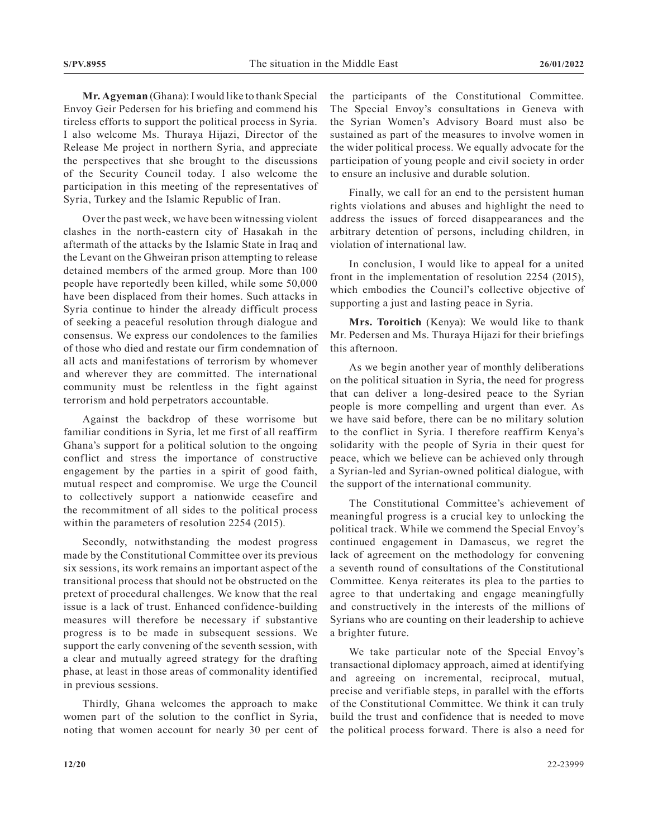**Mr. Agyeman** (Ghana): I would like to thank Special Envoy Geir Pedersen for his briefing and commend his tireless efforts to support the political process in Syria. I also welcome Ms. Thuraya Hijazi, Director of the Release Me project in northern Syria, and appreciate the perspectives that she brought to the discussions of the Security Council today. I also welcome the participation in this meeting of the representatives of Syria, Turkey and the Islamic Republic of Iran.

Over the past week, we have been witnessing violent clashes in the north-eastern city of Hasakah in the aftermath of the attacks by the Islamic State in Iraq and the Levant on the Ghweiran prison attempting to release detained members of the armed group. More than 100 people have reportedly been killed, while some 50,000 have been displaced from their homes. Such attacks in Syria continue to hinder the already difficult process of seeking a peaceful resolution through dialogue and consensus. We express our condolences to the families of those who died and restate our firm condemnation of all acts and manifestations of terrorism by whomever and wherever they are committed. The international community must be relentless in the fight against terrorism and hold perpetrators accountable.

Against the backdrop of these worrisome but familiar conditions in Syria, let me first of all reaffirm Ghana's support for a political solution to the ongoing conflict and stress the importance of constructive engagement by the parties in a spirit of good faith, mutual respect and compromise. We urge the Council to collectively support a nationwide ceasefire and the recommitment of all sides to the political process within the parameters of resolution 2254 (2015).

Secondly, notwithstanding the modest progress made by the Constitutional Committee over its previous six sessions, its work remains an important aspect of the transitional process that should not be obstructed on the pretext of procedural challenges. We know that the real issue is a lack of trust. Enhanced confidence-building measures will therefore be necessary if substantive progress is to be made in subsequent sessions. We support the early convening of the seventh session, with a clear and mutually agreed strategy for the drafting phase, at least in those areas of commonality identified in previous sessions.

Thirdly, Ghana welcomes the approach to make women part of the solution to the conflict in Syria, noting that women account for nearly 30 per cent of the participants of the Constitutional Committee. The Special Envoy's consultations in Geneva with the Syrian Women's Advisory Board must also be sustained as part of the measures to involve women in the wider political process. We equally advocate for the participation of young people and civil society in order to ensure an inclusive and durable solution.

Finally, we call for an end to the persistent human rights violations and abuses and highlight the need to address the issues of forced disappearances and the arbitrary detention of persons, including children, in violation of international law.

In conclusion, I would like to appeal for a united front in the implementation of resolution 2254 (2015), which embodies the Council's collective objective of supporting a just and lasting peace in Syria.

**Mrs. Toroitich** (Kenya): We would like to thank Mr. Pedersen and Ms. Thuraya Hijazi for their briefings this afternoon.

As we begin another year of monthly deliberations on the political situation in Syria, the need for progress that can deliver a long-desired peace to the Syrian people is more compelling and urgent than ever. As we have said before, there can be no military solution to the conflict in Syria. I therefore reaffirm Kenya's solidarity with the people of Syria in their quest for peace, which we believe can be achieved only through a Syrian-led and Syrian-owned political dialogue, with the support of the international community.

The Constitutional Committee's achievement of meaningful progress is a crucial key to unlocking the political track. While we commend the Special Envoy's continued engagement in Damascus, we regret the lack of agreement on the methodology for convening a seventh round of consultations of the Constitutional Committee. Kenya reiterates its plea to the parties to agree to that undertaking and engage meaningfully and constructively in the interests of the millions of Syrians who are counting on their leadership to achieve a brighter future.

We take particular note of the Special Envoy's transactional diplomacy approach, aimed at identifying and agreeing on incremental, reciprocal, mutual, precise and verifiable steps, in parallel with the efforts of the Constitutional Committee. We think it can truly build the trust and confidence that is needed to move the political process forward. There is also a need for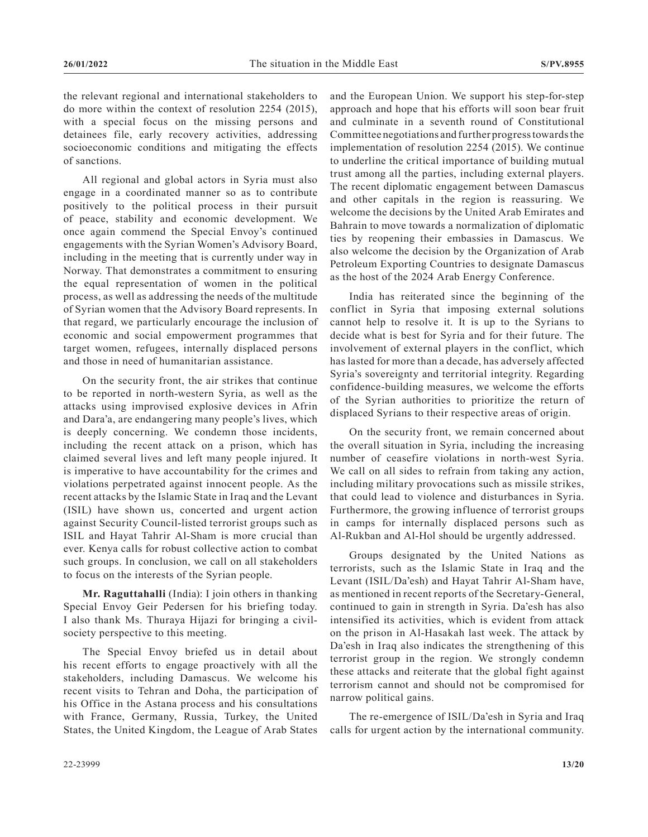the relevant regional and international stakeholders to do more within the context of resolution 2254 (2015), with a special focus on the missing persons and detainees file, early recovery activities, addressing socioeconomic conditions and mitigating the effects of sanctions.

All regional and global actors in Syria must also engage in a coordinated manner so as to contribute positively to the political process in their pursuit of peace, stability and economic development. We once again commend the Special Envoy's continued engagements with the Syrian Women's Advisory Board, including in the meeting that is currently under way in Norway. That demonstrates a commitment to ensuring the equal representation of women in the political process, as well as addressing the needs of the multitude of Syrian women that the Advisory Board represents. In that regard, we particularly encourage the inclusion of economic and social empowerment programmes that target women, refugees, internally displaced persons and those in need of humanitarian assistance.

On the security front, the air strikes that continue to be reported in north-western Syria, as well as the attacks using improvised explosive devices in Afrin and Dara'a, are endangering many people's lives, which is deeply concerning. We condemn those incidents, including the recent attack on a prison, which has claimed several lives and left many people injured. It is imperative to have accountability for the crimes and violations perpetrated against innocent people. As the recent attacks by the Islamic State in Iraq and the Levant (ISIL) have shown us, concerted and urgent action against Security Council-listed terrorist groups such as ISIL and Hayat Tahrir Al-Sham is more crucial than ever. Kenya calls for robust collective action to combat such groups. In conclusion, we call on all stakeholders to focus on the interests of the Syrian people.

**Mr. Raguttahalli** (India): I join others in thanking Special Envoy Geir Pedersen for his briefing today. I also thank Ms. Thuraya Hijazi for bringing a civilsociety perspective to this meeting.

The Special Envoy briefed us in detail about his recent efforts to engage proactively with all the stakeholders, including Damascus. We welcome his recent visits to Tehran and Doha, the participation of his Office in the Astana process and his consultations with France, Germany, Russia, Turkey, the United States, the United Kingdom, the League of Arab States

and the European Union. We support his step-for-step approach and hope that his efforts will soon bear fruit and culminate in a seventh round of Constitutional Committee negotiations and further progress towards the implementation of resolution 2254 (2015). We continue to underline the critical importance of building mutual trust among all the parties, including external players. The recent diplomatic engagement between Damascus and other capitals in the region is reassuring. We welcome the decisions by the United Arab Emirates and Bahrain to move towards a normalization of diplomatic ties by reopening their embassies in Damascus. We also welcome the decision by the Organization of Arab Petroleum Exporting Countries to designate Damascus as the host of the 2024 Arab Energy Conference.

India has reiterated since the beginning of the conflict in Syria that imposing external solutions cannot help to resolve it. It is up to the Syrians to decide what is best for Syria and for their future. The involvement of external players in the conflict, which has lasted for more than a decade, has adversely affected Syria's sovereignty and territorial integrity. Regarding confidence-building measures, we welcome the efforts of the Syrian authorities to prioritize the return of displaced Syrians to their respective areas of origin.

On the security front, we remain concerned about the overall situation in Syria, including the increasing number of ceasefire violations in north-west Syria. We call on all sides to refrain from taking any action, including military provocations such as missile strikes, that could lead to violence and disturbances in Syria. Furthermore, the growing influence of terrorist groups in camps for internally displaced persons such as Al-Rukban and Al-Hol should be urgently addressed.

Groups designated by the United Nations as terrorists, such as the Islamic State in Iraq and the Levant (ISIL/Da'esh) and Hayat Tahrir Al-Sham have, as mentioned in recent reports of the Secretary-General, continued to gain in strength in Syria. Da'esh has also intensified its activities, which is evident from attack on the prison in Al-Hasakah last week. The attack by Da'esh in Iraq also indicates the strengthening of this terrorist group in the region. We strongly condemn these attacks and reiterate that the global fight against terrorism cannot and should not be compromised for narrow political gains.

The re-emergence of ISIL/Da'esh in Syria and Iraq calls for urgent action by the international community.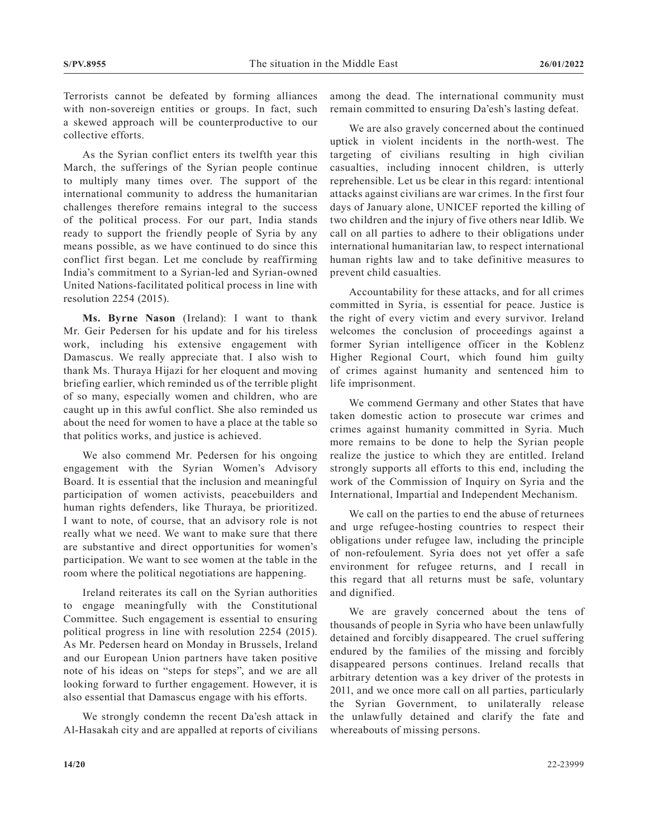Terrorists cannot be defeated by forming alliances with non-sovereign entities or groups. In fact, such a skewed approach will be counterproductive to our collective efforts.

As the Syrian conflict enters its twelfth year this March, the sufferings of the Syrian people continue to multiply many times over. The support of the international community to address the humanitarian challenges therefore remains integral to the success of the political process. For our part, India stands ready to support the friendly people of Syria by any means possible, as we have continued to do since this conflict first began. Let me conclude by reaffirming India's commitment to a Syrian-led and Syrian-owned United Nations-facilitated political process in line with resolution 2254 (2015).

**Ms. Byrne Nason** (Ireland): I want to thank Mr. Geir Pedersen for his update and for his tireless work, including his extensive engagement with Damascus. We really appreciate that. I also wish to thank Ms. Thuraya Hijazi for her eloquent and moving briefing earlier, which reminded us of the terrible plight of so many, especially women and children, who are caught up in this awful conflict. She also reminded us about the need for women to have a place at the table so that politics works, and justice is achieved.

We also commend Mr. Pedersen for his ongoing engagement with the Syrian Women's Advisory Board. It is essential that the inclusion and meaningful participation of women activists, peacebuilders and human rights defenders, like Thuraya, be prioritized. I want to note, of course, that an advisory role is not really what we need. We want to make sure that there are substantive and direct opportunities for women's participation. We want to see women at the table in the room where the political negotiations are happening.

Ireland reiterates its call on the Syrian authorities to engage meaningfully with the Constitutional Committee. Such engagement is essential to ensuring political progress in line with resolution 2254 (2015). As Mr. Pedersen heard on Monday in Brussels, Ireland and our European Union partners have taken positive note of his ideas on "steps for steps", and we are all looking forward to further engagement. However, it is also essential that Damascus engage with his efforts.

We strongly condemn the recent Da'esh attack in Al-Hasakah city and are appalled at reports of civilians among the dead. The international community must remain committed to ensuring Da'esh's lasting defeat.

We are also gravely concerned about the continued uptick in violent incidents in the north-west. The targeting of civilians resulting in high civilian casualties, including innocent children, is utterly reprehensible. Let us be clear in this regard: intentional attacks against civilians are war crimes. In the first four days of January alone, UNICEF reported the killing of two children and the injury of five others near Idlib. We call on all parties to adhere to their obligations under international humanitarian law, to respect international human rights law and to take definitive measures to prevent child casualties.

Accountability for these attacks, and for all crimes committed in Syria, is essential for peace. Justice is the right of every victim and every survivor. Ireland welcomes the conclusion of proceedings against a former Syrian intelligence officer in the Koblenz Higher Regional Court, which found him guilty of crimes against humanity and sentenced him to life imprisonment.

We commend Germany and other States that have taken domestic action to prosecute war crimes and crimes against humanity committed in Syria. Much more remains to be done to help the Syrian people realize the justice to which they are entitled. Ireland strongly supports all efforts to this end, including the work of the Commission of Inquiry on Syria and the International, Impartial and Independent Mechanism.

We call on the parties to end the abuse of returnees and urge refugee-hosting countries to respect their obligations under refugee law, including the principle of non-refoulement. Syria does not yet offer a safe environment for refugee returns, and I recall in this regard that all returns must be safe, voluntary and dignified.

We are gravely concerned about the tens of thousands of people in Syria who have been unlawfully detained and forcibly disappeared. The cruel suffering endured by the families of the missing and forcibly disappeared persons continues. Ireland recalls that arbitrary detention was a key driver of the protests in 2011, and we once more call on all parties, particularly the Syrian Government, to unilaterally release the unlawfully detained and clarify the fate and whereabouts of missing persons.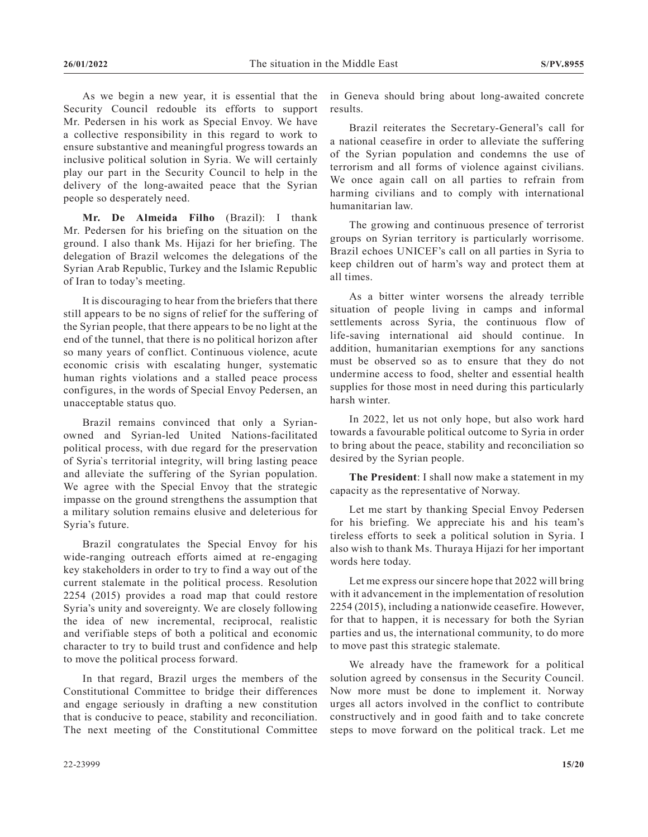As we begin a new year, it is essential that the Security Council redouble its efforts to support Mr. Pedersen in his work as Special Envoy. We have a collective responsibility in this regard to work to ensure substantive and meaningful progress towards an inclusive political solution in Syria. We will certainly play our part in the Security Council to help in the delivery of the long-awaited peace that the Syrian people so desperately need.

**Mr. De Almeida Filho** (Brazil): I thank Mr. Pedersen for his briefing on the situation on the ground. I also thank Ms. Hijazi for her briefing. The delegation of Brazil welcomes the delegations of the Syrian Arab Republic, Turkey and the Islamic Republic of Iran to today's meeting.

It is discouraging to hear from the briefers that there still appears to be no signs of relief for the suffering of the Syrian people, that there appears to be no light at the end of the tunnel, that there is no political horizon after so many years of conflict. Continuous violence, acute economic crisis with escalating hunger, systematic human rights violations and a stalled peace process configures, in the words of Special Envoy Pedersen, an unacceptable status quo.

Brazil remains convinced that only a Syrianowned and Syrian-led United Nations-facilitated political process, with due regard for the preservation of Syria`s territorial integrity, will bring lasting peace and alleviate the suffering of the Syrian population. We agree with the Special Envoy that the strategic impasse on the ground strengthens the assumption that a military solution remains elusive and deleterious for Syria's future.

Brazil congratulates the Special Envoy for his wide-ranging outreach efforts aimed at re-engaging key stakeholders in order to try to find a way out of the current stalemate in the political process. Resolution 2254 (2015) provides a road map that could restore Syria's unity and sovereignty. We are closely following the idea of new incremental, reciprocal, realistic and verifiable steps of both a political and economic character to try to build trust and confidence and help to move the political process forward.

In that regard, Brazil urges the members of the Constitutional Committee to bridge their differences and engage seriously in drafting a new constitution that is conducive to peace, stability and reconciliation. The next meeting of the Constitutional Committee

in Geneva should bring about long-awaited concrete results.

Brazil reiterates the Secretary-General's call for a national ceasefire in order to alleviate the suffering of the Syrian population and condemns the use of terrorism and all forms of violence against civilians. We once again call on all parties to refrain from harming civilians and to comply with international humanitarian law.

The growing and continuous presence of terrorist groups on Syrian territory is particularly worrisome. Brazil echoes UNICEF's call on all parties in Syria to keep children out of harm's way and protect them at all times.

As a bitter winter worsens the already terrible situation of people living in camps and informal settlements across Syria, the continuous flow of life-saving international aid should continue. In addition, humanitarian exemptions for any sanctions must be observed so as to ensure that they do not undermine access to food, shelter and essential health supplies for those most in need during this particularly harsh winter.

In 2022, let us not only hope, but also work hard towards a favourable political outcome to Syria in order to bring about the peace, stability and reconciliation so desired by the Syrian people.

**The President**: I shall now make a statement in my capacity as the representative of Norway.

Let me start by thanking Special Envoy Pedersen for his briefing. We appreciate his and his team's tireless efforts to seek a political solution in Syria. I also wish to thank Ms. Thuraya Hijazi for her important words here today.

Let me express our sincere hope that 2022 will bring with it advancement in the implementation of resolution 2254 (2015), including a nationwide ceasefire. However, for that to happen, it is necessary for both the Syrian parties and us, the international community, to do more to move past this strategic stalemate.

We already have the framework for a political solution agreed by consensus in the Security Council. Now more must be done to implement it. Norway urges all actors involved in the conflict to contribute constructively and in good faith and to take concrete steps to move forward on the political track. Let me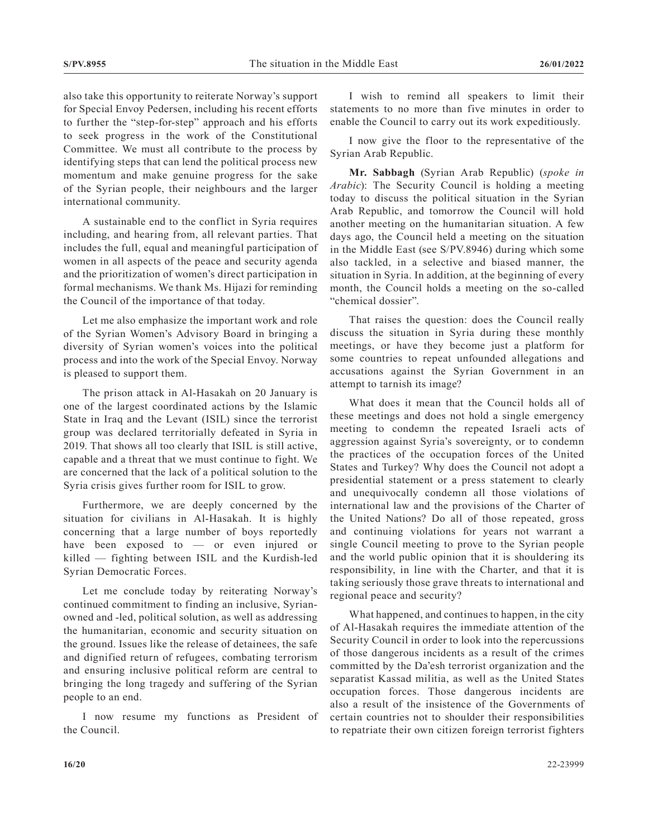also take this opportunity to reiterate Norway's support for Special Envoy Pedersen, including his recent efforts to further the "step-for-step" approach and his efforts to seek progress in the work of the Constitutional Committee. We must all contribute to the process by identifying steps that can lend the political process new momentum and make genuine progress for the sake of the Syrian people, their neighbours and the larger international community.

A sustainable end to the conflict in Syria requires including, and hearing from, all relevant parties. That includes the full, equal and meaningful participation of women in all aspects of the peace and security agenda and the prioritization of women's direct participation in formal mechanisms. We thank Ms. Hijazi for reminding the Council of the importance of that today.

Let me also emphasize the important work and role of the Syrian Women's Advisory Board in bringing a diversity of Syrian women's voices into the political process and into the work of the Special Envoy. Norway is pleased to support them.

The prison attack in Al-Hasakah on 20 January is one of the largest coordinated actions by the Islamic State in Iraq and the Levant (ISIL) since the terrorist group was declared territorially defeated in Syria in 2019. That shows all too clearly that ISIL is still active, capable and a threat that we must continue to fight. We are concerned that the lack of a political solution to the Syria crisis gives further room for ISIL to grow.

Furthermore, we are deeply concerned by the situation for civilians in Al-Hasakah. It is highly concerning that a large number of boys reportedly have been exposed to — or even injured or killed — fighting between ISIL and the Kurdish-led Syrian Democratic Forces.

Let me conclude today by reiterating Norway's continued commitment to finding an inclusive, Syrianowned and -led, political solution, as well as addressing the humanitarian, economic and security situation on the ground. Issues like the release of detainees, the safe and dignified return of refugees, combating terrorism and ensuring inclusive political reform are central to bringing the long tragedy and suffering of the Syrian people to an end.

I now resume my functions as President of the Council.

I wish to remind all speakers to limit their statements to no more than five minutes in order to enable the Council to carry out its work expeditiously.

I now give the floor to the representative of the Syrian Arab Republic.

**Mr. Sabbagh** (Syrian Arab Republic) (*spoke in Arabic*): The Security Council is holding a meeting today to discuss the political situation in the Syrian Arab Republic, and tomorrow the Council will hold another meeting on the humanitarian situation. A few days ago, the Council held a meeting on the situation in the Middle East (see S/PV.8946) during which some also tackled, in a selective and biased manner, the situation in Syria. In addition, at the beginning of every month, the Council holds a meeting on the so-called "chemical dossier".

That raises the question: does the Council really discuss the situation in Syria during these monthly meetings, or have they become just a platform for some countries to repeat unfounded allegations and accusations against the Syrian Government in an attempt to tarnish its image?

What does it mean that the Council holds all of these meetings and does not hold a single emergency meeting to condemn the repeated Israeli acts of aggression against Syria's sovereignty, or to condemn the practices of the occupation forces of the United States and Turkey? Why does the Council not adopt a presidential statement or a press statement to clearly and unequivocally condemn all those violations of international law and the provisions of the Charter of the United Nations? Do all of those repeated, gross and continuing violations for years not warrant a single Council meeting to prove to the Syrian people and the world public opinion that it is shouldering its responsibility, in line with the Charter, and that it is taking seriously those grave threats to international and regional peace and security?

What happened, and continues to happen, in the city of Al-Hasakah requires the immediate attention of the Security Council in order to look into the repercussions of those dangerous incidents as a result of the crimes committed by the Da'esh terrorist organization and the separatist Kassad militia, as well as the United States occupation forces. Those dangerous incidents are also a result of the insistence of the Governments of certain countries not to shoulder their responsibilities to repatriate their own citizen foreign terrorist fighters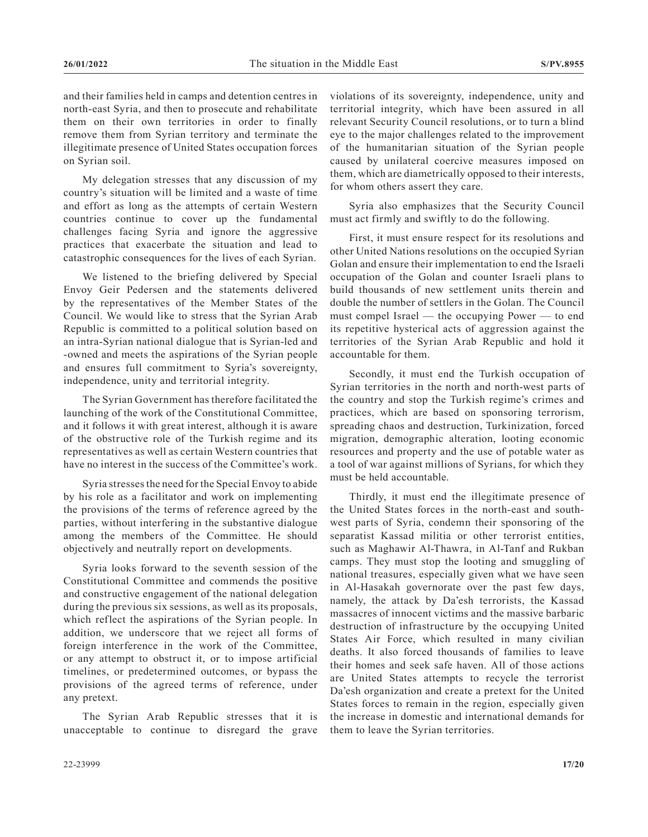and their families held in camps and detention centres in north-east Syria, and then to prosecute and rehabilitate them on their own territories in order to finally remove them from Syrian territory and terminate the illegitimate presence of United States occupation forces on Syrian soil.

My delegation stresses that any discussion of my country's situation will be limited and a waste of time and effort as long as the attempts of certain Western countries continue to cover up the fundamental challenges facing Syria and ignore the aggressive practices that exacerbate the situation and lead to catastrophic consequences for the lives of each Syrian.

We listened to the briefing delivered by Special Envoy Geir Pedersen and the statements delivered by the representatives of the Member States of the Council. We would like to stress that the Syrian Arab Republic is committed to a political solution based on an intra-Syrian national dialogue that is Syrian-led and -owned and meets the aspirations of the Syrian people and ensures full commitment to Syria's sovereignty, independence, unity and territorial integrity.

The Syrian Government has therefore facilitated the launching of the work of the Constitutional Committee, and it follows it with great interest, although it is aware of the obstructive role of the Turkish regime and its representatives as well as certain Western countries that have no interest in the success of the Committee's work.

Syria stresses the need for the Special Envoy to abide by his role as a facilitator and work on implementing the provisions of the terms of reference agreed by the parties, without interfering in the substantive dialogue among the members of the Committee. He should objectively and neutrally report on developments.

Syria looks forward to the seventh session of the Constitutional Committee and commends the positive and constructive engagement of the national delegation during the previous six sessions, as well as its proposals, which reflect the aspirations of the Syrian people. In addition, we underscore that we reject all forms of foreign interference in the work of the Committee, or any attempt to obstruct it, or to impose artificial timelines, or predetermined outcomes, or bypass the provisions of the agreed terms of reference, under any pretext.

The Syrian Arab Republic stresses that it is unacceptable to continue to disregard the grave violations of its sovereignty, independence, unity and territorial integrity, which have been assured in all relevant Security Council resolutions, or to turn a blind eye to the major challenges related to the improvement of the humanitarian situation of the Syrian people caused by unilateral coercive measures imposed on them, which are diametrically opposed to their interests, for whom others assert they care.

Syria also emphasizes that the Security Council must act firmly and swiftly to do the following.

First, it must ensure respect for its resolutions and other United Nations resolutions on the occupied Syrian Golan and ensure their implementation to end the Israeli occupation of the Golan and counter Israeli plans to build thousands of new settlement units therein and double the number of settlers in the Golan. The Council must compel Israel — the occupying Power — to end its repetitive hysterical acts of aggression against the territories of the Syrian Arab Republic and hold it accountable for them.

Secondly, it must end the Turkish occupation of Syrian territories in the north and north-west parts of the country and stop the Turkish regime's crimes and practices, which are based on sponsoring terrorism, spreading chaos and destruction, Turkinization, forced migration, demographic alteration, looting economic resources and property and the use of potable water as a tool of war against millions of Syrians, for which they must be held accountable.

Thirdly, it must end the illegitimate presence of the United States forces in the north-east and southwest parts of Syria, condemn their sponsoring of the separatist Kassad militia or other terrorist entities, such as Maghawir Al-Thawra, in Al-Tanf and Rukban camps. They must stop the looting and smuggling of national treasures, especially given what we have seen in Al-Hasakah governorate over the past few days, namely, the attack by Da'esh terrorists, the Kassad massacres of innocent victims and the massive barbaric destruction of infrastructure by the occupying United States Air Force, which resulted in many civilian deaths. It also forced thousands of families to leave their homes and seek safe haven. All of those actions are United States attempts to recycle the terrorist Da'esh organization and create a pretext for the United States forces to remain in the region, especially given the increase in domestic and international demands for them to leave the Syrian territories.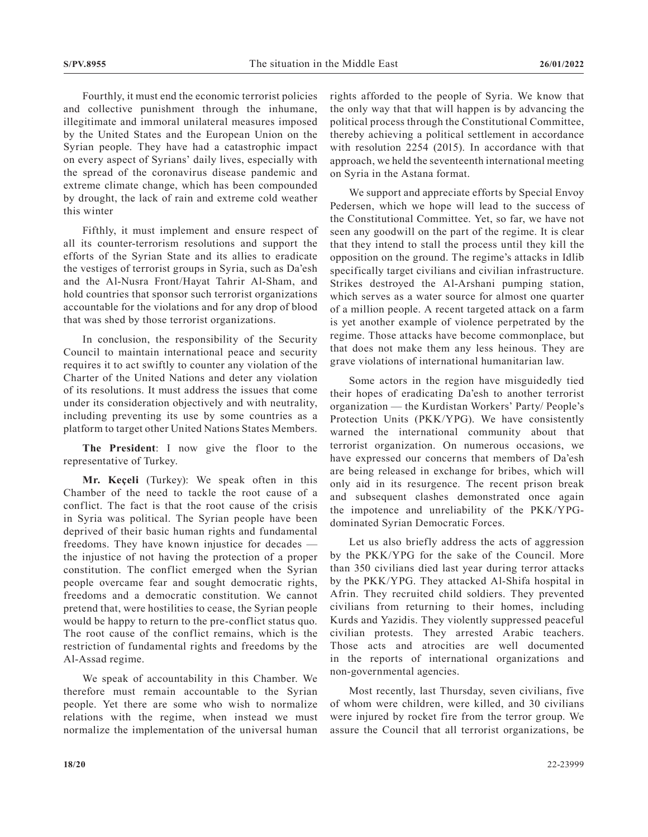Fourthly, it must end the economic terrorist policies and collective punishment through the inhumane, illegitimate and immoral unilateral measures imposed by the United States and the European Union on the Syrian people. They have had a catastrophic impact on every aspect of Syrians' daily lives, especially with the spread of the coronavirus disease pandemic and extreme climate change, which has been compounded by drought, the lack of rain and extreme cold weather this winter

Fifthly, it must implement and ensure respect of all its counter-terrorism resolutions and support the efforts of the Syrian State and its allies to eradicate the vestiges of terrorist groups in Syria, such as Da'esh and the Al-Nusra Front/Hayat Tahrir Al-Sham, and hold countries that sponsor such terrorist organizations accountable for the violations and for any drop of blood that was shed by those terrorist organizations.

In conclusion, the responsibility of the Security Council to maintain international peace and security requires it to act swiftly to counter any violation of the Charter of the United Nations and deter any violation of its resolutions. It must address the issues that come under its consideration objectively and with neutrality, including preventing its use by some countries as a platform to target other United Nations States Members.

**The President**: I now give the floor to the representative of Turkey.

**Mr. Keçeli** (Turkey): We speak often in this Chamber of the need to tackle the root cause of a conflict. The fact is that the root cause of the crisis in Syria was political. The Syrian people have been deprived of their basic human rights and fundamental freedoms. They have known injustice for decades the injustice of not having the protection of a proper constitution. The conflict emerged when the Syrian people overcame fear and sought democratic rights, freedoms and a democratic constitution. We cannot pretend that, were hostilities to cease, the Syrian people would be happy to return to the pre-conflict status quo. The root cause of the conflict remains, which is the restriction of fundamental rights and freedoms by the Al-Assad regime.

We speak of accountability in this Chamber. We therefore must remain accountable to the Syrian people. Yet there are some who wish to normalize relations with the regime, when instead we must normalize the implementation of the universal human rights afforded to the people of Syria. We know that the only way that that will happen is by advancing the political process through the Constitutional Committee, thereby achieving a political settlement in accordance with resolution 2254 (2015). In accordance with that approach, we held the seventeenth international meeting on Syria in the Astana format.

We support and appreciate efforts by Special Envoy Pedersen, which we hope will lead to the success of the Constitutional Committee. Yet, so far, we have not seen any goodwill on the part of the regime. It is clear that they intend to stall the process until they kill the opposition on the ground. The regime's attacks in Idlib specifically target civilians and civilian infrastructure. Strikes destroyed the Al-Arshani pumping station, which serves as a water source for almost one quarter of a million people. A recent targeted attack on a farm is yet another example of violence perpetrated by the regime. Those attacks have become commonplace, but that does not make them any less heinous. They are grave violations of international humanitarian law.

Some actors in the region have misguidedly tied their hopes of eradicating Da'esh to another terrorist organization — the Kurdistan Workers' Party/ People's Protection Units (PKK/YPG). We have consistently warned the international community about that terrorist organization. On numerous occasions, we have expressed our concerns that members of Da'esh are being released in exchange for bribes, which will only aid in its resurgence. The recent prison break and subsequent clashes demonstrated once again the impotence and unreliability of the PKK/YPGdominated Syrian Democratic Forces.

Let us also briefly address the acts of aggression by the PKK/YPG for the sake of the Council. More than 350 civilians died last year during terror attacks by the PKK/YPG. They attacked Al-Shifa hospital in Afrin. They recruited child soldiers. They prevented civilians from returning to their homes, including Kurds and Yazidis. They violently suppressed peaceful civilian protests. They arrested Arabic teachers. Those acts and atrocities are well documented in the reports of international organizations and non-governmental agencies.

Most recently, last Thursday, seven civilians, five of whom were children, were killed, and 30 civilians were injured by rocket fire from the terror group. We assure the Council that all terrorist organizations, be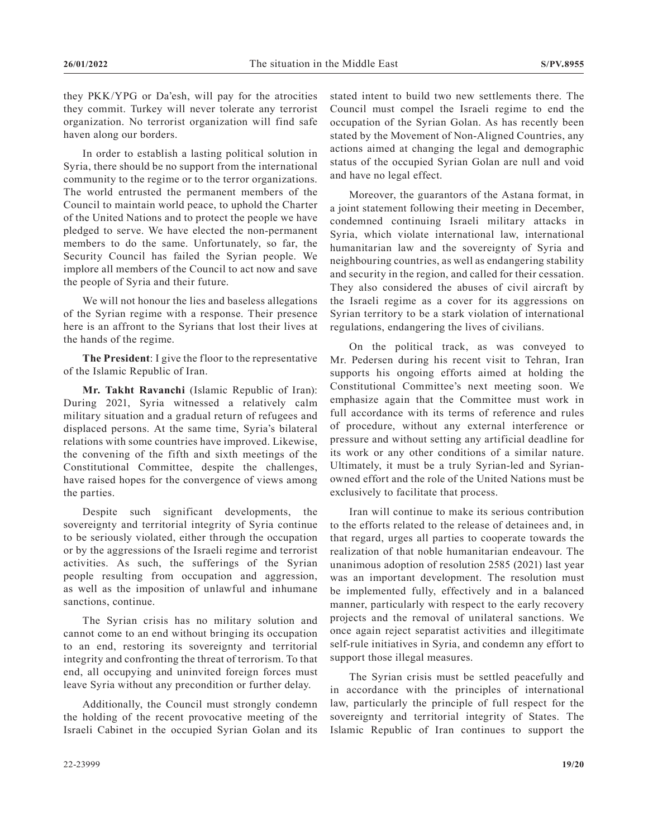they PKK/YPG or Da'esh, will pay for the atrocities they commit. Turkey will never tolerate any terrorist organization. No terrorist organization will find safe haven along our borders.

In order to establish a lasting political solution in Syria, there should be no support from the international community to the regime or to the terror organizations. The world entrusted the permanent members of the Council to maintain world peace, to uphold the Charter of the United Nations and to protect the people we have pledged to serve. We have elected the non-permanent members to do the same. Unfortunately, so far, the Security Council has failed the Syrian people. We implore all members of the Council to act now and save the people of Syria and their future.

We will not honour the lies and baseless allegations of the Syrian regime with a response. Their presence here is an affront to the Syrians that lost their lives at the hands of the regime.

**The President**: I give the floor to the representative of the Islamic Republic of Iran.

**Mr. Takht Ravanchi** (Islamic Republic of Iran): During 2021, Syria witnessed a relatively calm military situation and a gradual return of refugees and displaced persons. At the same time, Syria's bilateral relations with some countries have improved. Likewise, the convening of the fifth and sixth meetings of the Constitutional Committee, despite the challenges, have raised hopes for the convergence of views among the parties.

Despite such significant developments, the sovereignty and territorial integrity of Syria continue to be seriously violated, either through the occupation or by the aggressions of the Israeli regime and terrorist activities. As such, the sufferings of the Syrian people resulting from occupation and aggression, as well as the imposition of unlawful and inhumane sanctions, continue.

The Syrian crisis has no military solution and cannot come to an end without bringing its occupation to an end, restoring its sovereignty and territorial integrity and confronting the threat of terrorism. To that end, all occupying and uninvited foreign forces must leave Syria without any precondition or further delay.

Additionally, the Council must strongly condemn the holding of the recent provocative meeting of the Israeli Cabinet in the occupied Syrian Golan and its stated intent to build two new settlements there. The Council must compel the Israeli regime to end the occupation of the Syrian Golan. As has recently been stated by the Movement of Non-Aligned Countries, any actions aimed at changing the legal and demographic status of the occupied Syrian Golan are null and void and have no legal effect.

Moreover, the guarantors of the Astana format, in a joint statement following their meeting in December, condemned continuing Israeli military attacks in Syria, which violate international law, international humanitarian law and the sovereignty of Syria and neighbouring countries, as well as endangering stability and security in the region, and called for their cessation. They also considered the abuses of civil aircraft by the Israeli regime as a cover for its aggressions on Syrian territory to be a stark violation of international regulations, endangering the lives of civilians.

On the political track, as was conveyed to Mr. Pedersen during his recent visit to Tehran, Iran supports his ongoing efforts aimed at holding the Constitutional Committee's next meeting soon. We emphasize again that the Committee must work in full accordance with its terms of reference and rules of procedure, without any external interference or pressure and without setting any artificial deadline for its work or any other conditions of a similar nature. Ultimately, it must be a truly Syrian-led and Syrianowned effort and the role of the United Nations must be exclusively to facilitate that process.

Iran will continue to make its serious contribution to the efforts related to the release of detainees and, in that regard, urges all parties to cooperate towards the realization of that noble humanitarian endeavour. The unanimous adoption of resolution 2585 (2021) last year was an important development. The resolution must be implemented fully, effectively and in a balanced manner, particularly with respect to the early recovery projects and the removal of unilateral sanctions. We once again reject separatist activities and illegitimate self-rule initiatives in Syria, and condemn any effort to support those illegal measures.

The Syrian crisis must be settled peacefully and in accordance with the principles of international law, particularly the principle of full respect for the sovereignty and territorial integrity of States. The Islamic Republic of Iran continues to support the